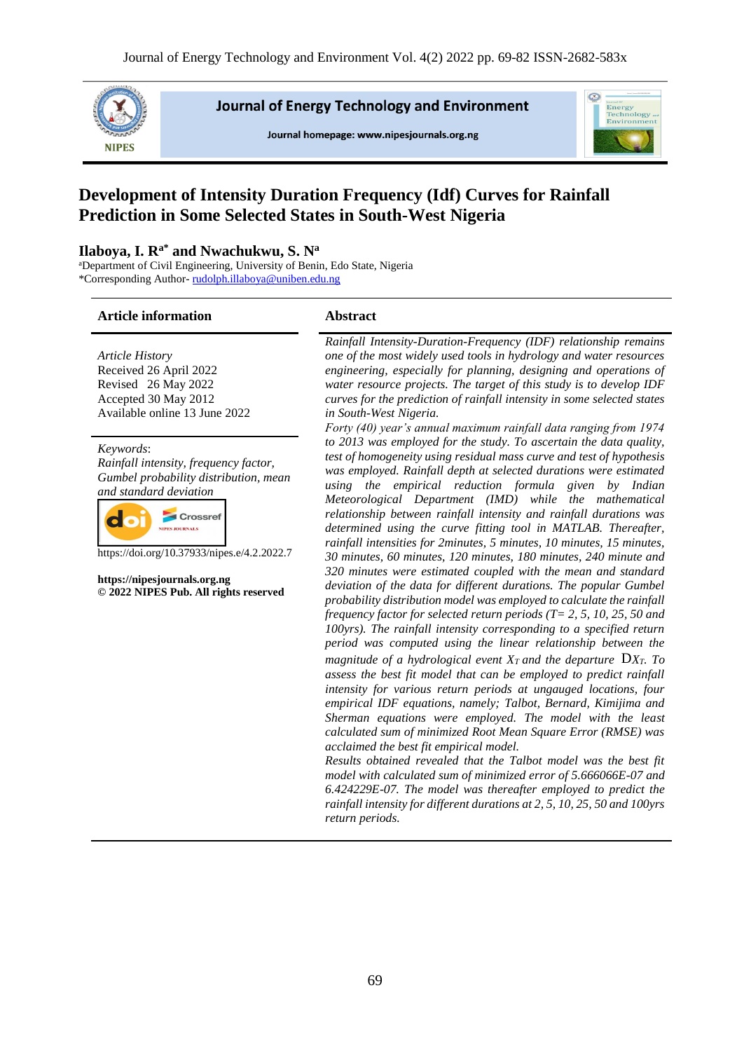

**Journal of Energy Technology and Environment** 

Journal homepage: www.nipesjournals.org.ng



# **Development of Intensity Duration Frequency (Idf) Curves for Rainfall Prediction in Some Selected States in South-West Nigeria**

#### **Ilaboya, I. Ra\* and Nwachukwu, S. N<sup>a</sup>**

<sup>a</sup>Department of Civil Engineering, University of Benin, Edo State, Nigeria \*Corresponding Author- [rudolph.illaboya@uniben.edu.ng](mailto:rudolph.illaboya@uniben.edu.ng)

#### **Article information Abstract**

*Article History* Received 26 April 2022 Revised 26 May 2022 Accepted 30 May 2012 Available online 13 June 2022

*Keywords*: *Rainfall intensity, frequency factor, Gumbel probability distribution, mean and standard deviation*



https://doi.org/10.37933/nipes.e/4.2.2022.7

**https://nipesjournals.org.ng © 2022 NIPES Pub. All rights reserved** *Rainfall Intensity-Duration-Frequency (IDF) relationship remains one of the most widely used tools in hydrology and water resources engineering, especially for planning, designing and operations of water resource projects. The target of this study is to develop IDF curves for the prediction of rainfall intensity in some selected states in South-West Nigeria.*

*Forty (40) year's annual maximum rainfall data ranging from 1974 to 2013 was employed for the study. To ascertain the data quality, test of homogeneity using residual mass curve and test of hypothesis was employed. Rainfall depth at selected durations were estimated using the empirical reduction formula given by Indian Meteorological Department (IMD) while the mathematical relationship between rainfall intensity and rainfall durations was determined using the curve fitting tool in MATLAB. Thereafter, rainfall intensities for 2minutes, 5 minutes, 10 minutes, 15 minutes, 30 minutes, 60 minutes, 120 minutes, 180 minutes, 240 minute and 320 minutes were estimated coupled with the mean and standard deviation of the data for different durations. The popular Gumbel probability distribution model was employed to calculate the rainfall frequency factor for selected return periods (T= 2, 5, 10, 25, 50 and 100yrs). The rainfall intensity corresponding to a specified return period was computed using the linear relationship between the magnitude of a hydrological event*  $X_T$  *and the departure*  $\sum X_T$ . To *assess the best fit model that can be employed to predict rainfall intensity for various return periods at ungauged locations, four empirical IDF equations, namely; Talbot, Bernard, Kimijima and Sherman equations were employed. The model with the least calculated sum of minimized Root Mean Square Error (RMSE) was acclaimed the best fit empirical model.*

*Results obtained revealed that the Talbot model was the best fit model with calculated sum of minimized error of 5.666066E-07 and 6.424229E-07. The model was thereafter employed to predict the rainfall intensity for different durations at 2, 5, 10, 25, 50 and 100yrs return periods.*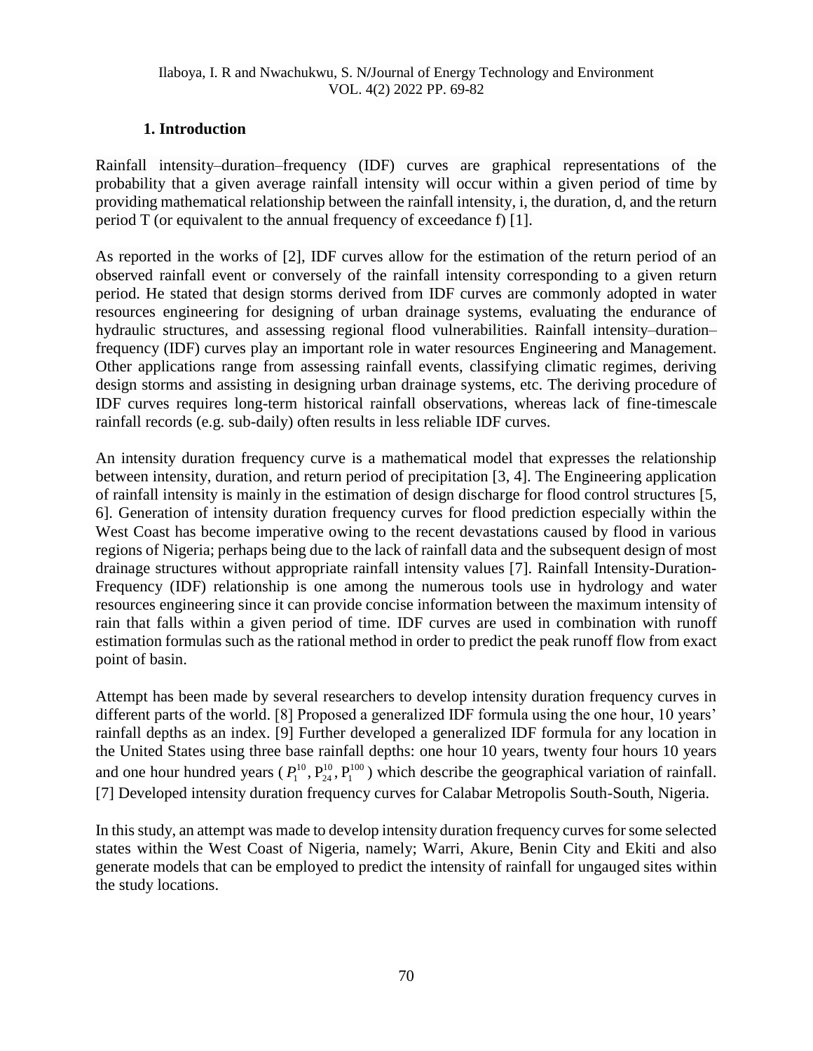## **1. Introduction**

Rainfall intensity–duration–frequency (IDF) curves are graphical representations of the probability that a given average rainfall intensity will occur within a given period of time by providing mathematical relationship between the rainfall intensity, i, the duration, d, and the return period T (or equivalent to the annual frequency of exceedance f) [1].

As reported in the works of [2], IDF curves allow for the estimation of the return period of an observed rainfall event or conversely of the rainfall intensity corresponding to a given return period. He stated that design storms derived from IDF curves are commonly adopted in water resources engineering for designing of urban drainage systems, evaluating the endurance of hydraulic structures, and assessing regional flood vulnerabilities. Rainfall intensity–duration– frequency (IDF) curves play an important role in water resources Engineering and Management. Other applications range from assessing rainfall events, classifying climatic regimes, deriving design storms and assisting in designing urban drainage systems, etc. The deriving procedure of IDF curves requires long-term historical rainfall observations, whereas lack of fine-timescale rainfall records (e.g. sub-daily) often results in less reliable IDF curves.

An intensity duration frequency curve is a mathematical model that expresses the relationship between intensity, duration, and return period of precipitation [3, 4]. The Engineering application of rainfall intensity is mainly in the estimation of design discharge for flood control structures [5, 6]. Generation of intensity duration frequency curves for flood prediction especially within the West Coast has become imperative owing to the recent devastations caused by flood in various regions of Nigeria; perhaps being due to the lack of rainfall data and the subsequent design of most drainage structures without appropriate rainfall intensity values [7]. Rainfall Intensity-Duration-Frequency (IDF) relationship is one among the numerous tools use in hydrology and water resources engineering since it can provide concise information between the maximum intensity of rain that falls within a given period of time. IDF curves are used in combination with runoff estimation formulas such as the rational method in order to predict the peak runoff flow from exact point of basin.

Attempt has been made by several researchers to develop intensity duration frequency curves in different parts of the world. [8] Proposed a generalized IDF formula using the one hour, 10 years' rainfall depths as an index. [9] Further developed a generalized IDF formula for any location in the United States using three base rainfall depths: one hour 10 years, twenty four hours 10 years and one hour hundred years ( $P_1^{10}, P_{24}^{10}, P_1^{100}$ 1 10  $P_1^{10}, P_{24}^{10}, P_1^{100}$ ) which describe the geographical variation of rainfall. [7] Developed intensity duration frequency curves for Calabar Metropolis South-South, Nigeria.

In this study, an attempt was made to develop intensity duration frequency curves for some selected states within the West Coast of Nigeria, namely; Warri, Akure, Benin City and Ekiti and also generate models that can be employed to predict the intensity of rainfall for ungauged sites within the study locations.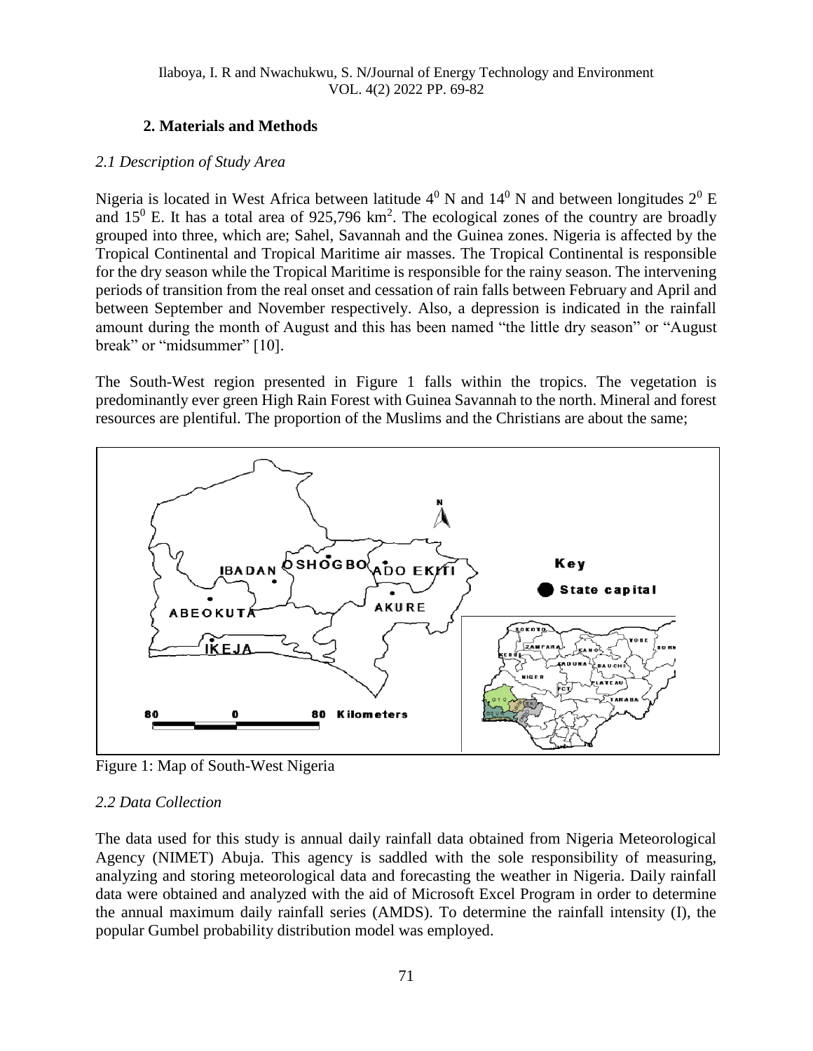## **2. Materials and Methods**

#### *2.1 Description of Study Area*

Nigeria is located in West Africa between latitude  $4^0$  N and  $14^0$  N and between longitudes  $2^0$  E and  $15^{\circ}$  E. It has a total area of 925,796 km<sup>2</sup>. The ecological zones of the country are broadly grouped into three, which are; Sahel, Savannah and the Guinea zones. Nigeria is affected by the Tropical Continental and Tropical Maritime air masses. The Tropical Continental is responsible for the dry season while the Tropical Maritime is responsible for the rainy season. The intervening periods of transition from the real onset and cessation of rain falls between February and April and between September and November respectively. Also, a depression is indicated in the rainfall amount during the month of August and this has been named "the little dry season" or "August break" or "midsummer" [10].

The South-West region presented in Figure 1 falls within the tropics. The vegetation is predominantly ever green High Rain Forest with Guinea Savannah to the north. Mineral and forest resources are plentiful. The proportion of the Muslims and the Christians are about the same;



Figure 1: Map of South-West Nigeria

## *2.2 Data Collection*

The data used for this study is annual daily rainfall data obtained from Nigeria Meteorological Agency (NIMET) Abuja. This agency is saddled with the sole responsibility of measuring, analyzing and storing meteorological data and forecasting the weather in Nigeria. Daily rainfall data were obtained and analyzed with the aid of Microsoft Excel Program in order to determine the annual maximum daily rainfall series (AMDS). To determine the rainfall intensity (I), the popular Gumbel probability distribution model was employed.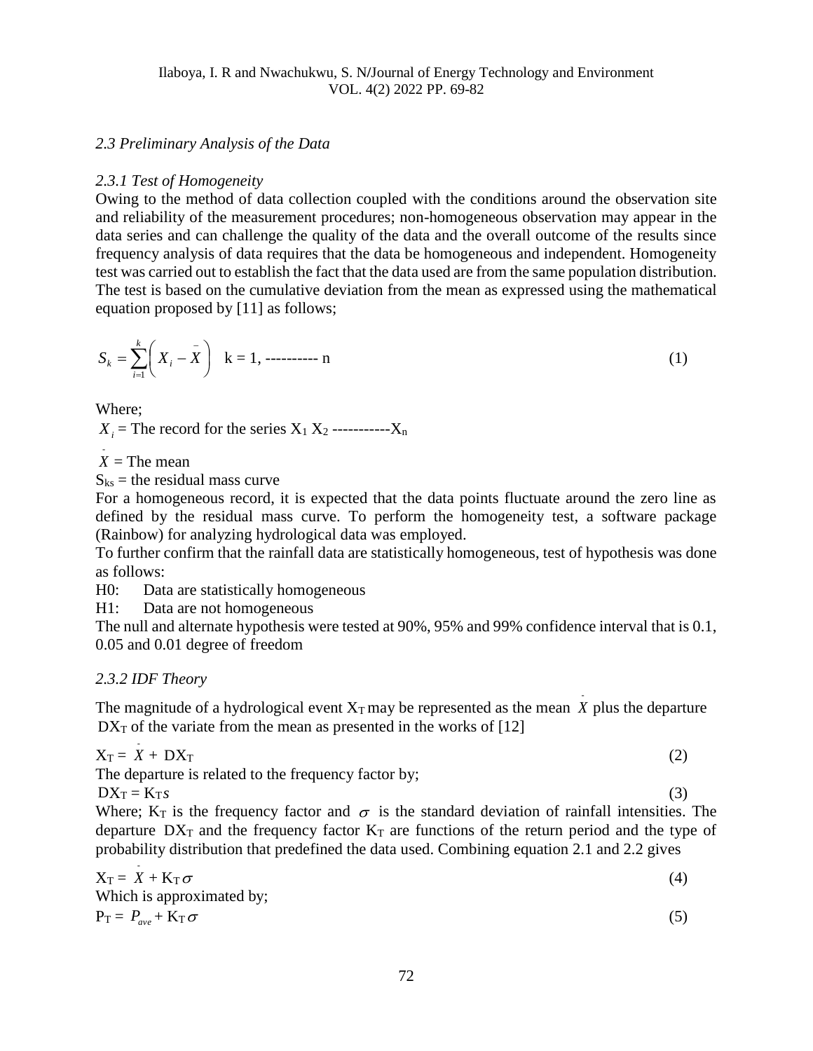#### *2.3 Preliminary Analysis of the Data*

#### *2.3.1 Test of Homogeneity*

Owing to the method of data collection coupled with the conditions around the observation site and reliability of the measurement procedures; non-homogeneous observation may appear in the data series and can challenge the quality of the data and the overall outcome of the results since frequency analysis of data requires that the data be homogeneous and independent. Homogeneity test was carried out to establish the fact that the data used are from the same population distribution. The test is based on the cumulative deviation from the mean as expressed using the mathematical equation proposed by [11] as follows;

$$
S_k = \sum_{i=1}^k \left( X_i - \bar{X} \right) \quad k = 1, \dots \dots \dots \dots \dots \tag{1}
$$

Where;

 $X_i$  = The record for the series  $X_1 X_2$  ----------- $X_n$ 

 $X =$ The mean

 $S_{ks}$  = the residual mass curve

For a homogeneous record, it is expected that the data points fluctuate around the zero line as defined by the residual mass curve. To perform the homogeneity test, a software package (Rainbow) for analyzing hydrological data was employed.

To further confirm that the rainfall data are statistically homogeneous, test of hypothesis was done as follows:

H0: Data are statistically homogeneous

H1: Data are not homogeneous

The null and alternate hypothesis were tested at 90%, 95% and 99% confidence interval that is 0.1, 0.05 and 0.01 degree of freedom

#### *2.3.2 IDF Theory*

The magnitude of a hydrological event  $X_T$  may be represented as the mean  $\overline{X}$  plus the departure  $DX_T$  of the variate from the mean as presented in the works of [12]

$$
X_T = X + DX_T \tag{2}
$$

The departure is related to the frequency factor by;

 $DX_T = K_T s$ 

Where;  $K_T$  is the frequency factor and  $\sigma$  is the standard deviation of rainfall intensities. The departure  $DX_T$  and the frequency factor  $K_T$  are functions of the return period and the type of probability distribution that predefined the data used. Combining equation 2.1 and 2.2 gives

(3)

$$
X_T = X + K_T \sigma
$$
  
Which is approximated by: (4)

$$
P_T = P_{ave} + K_T \sigma
$$
 (5)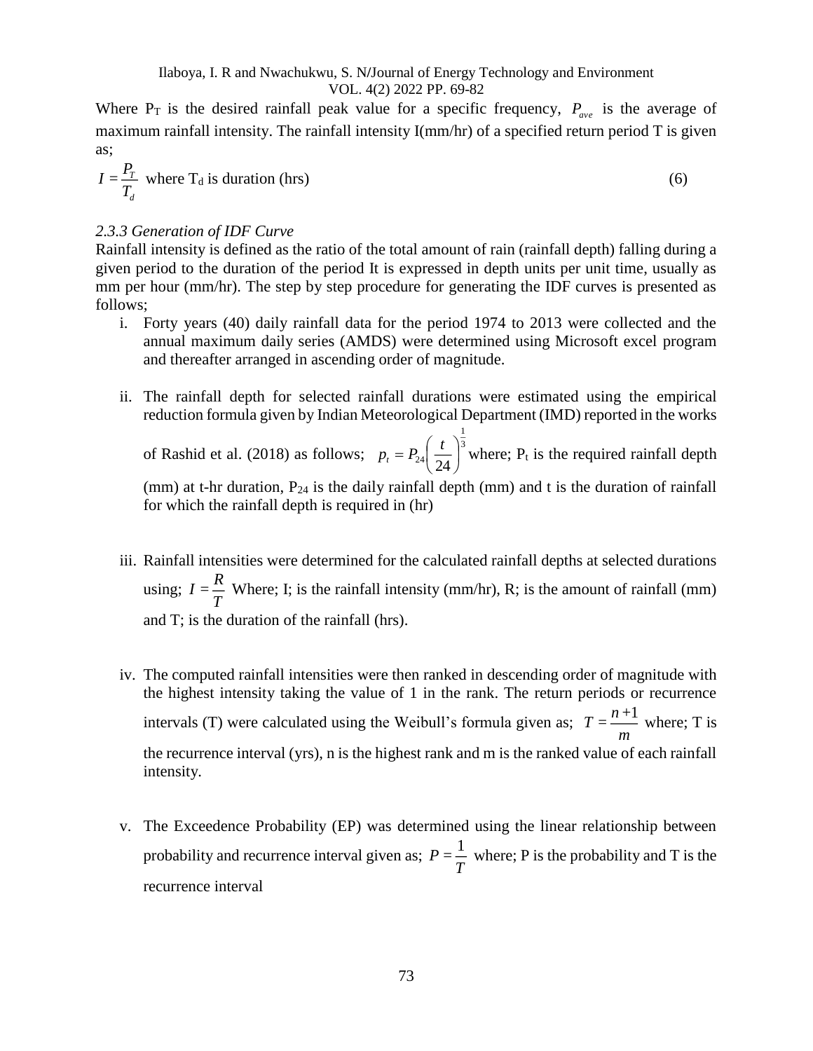Where  $P_T$  is the desired rainfall peak value for a specific frequency,  $P_{ave}$  is the average of maximum rainfall intensity. The rainfall intensity I(mm/hr) of a specified return period T is given as;

$$
I = \frac{P_T}{T_d} \text{ where } T_d \text{ is duration (hrs)}
$$
 (6)

#### *2.3.3 Generation of IDF Curve*

Rainfall intensity is defined as the ratio of the total amount of rain (rainfall depth) falling during a given period to the duration of the period It is expressed in depth units per unit time, usually as mm per hour (mm/hr). The step by step procedure for generating the IDF curves is presented as follows;

- i. Forty years (40) daily rainfall data for the period 1974 to 2013 were collected and the annual maximum daily series (AMDS) were determined using Microsoft excel program and thereafter arranged in ascending order of magnitude.
- ii. The rainfall depth for selected rainfall durations were estimated using the empirical reduction formula given by Indian Meteorological Department (IMD) reported in the works 1

of Rashid et al. (2018) as follows;  $p_t = P_{24} \left( \frac{t}{2} \right)^3$  $^{24}$ (24) I  $\left(\frac{t}{\cdot}\right)$ l  $= P_{24}$  $p_t = P_{24} \left( \frac{t}{24} \right)^3$  where; P<sub>t</sub> is the required rainfall depth (mm) at t-hr duration,  $P_{24}$  is the daily rainfall depth (mm) and t is the duration of rainfall

for which the rainfall depth is required in (hr)

- iii. Rainfall intensities were determined for the calculated rainfall depths at selected durations using;  $I = \frac{R}{I}$  $=\frac{R}{T}$  Where; I; is the rainfall intensity (mm/hr), R; is the amount of rainfall (mm) and T; is the duration of the rainfall (hrs).
- iv. The computed rainfall intensities were then ranked in descending order of magnitude with the highest intensity taking the value of 1 in the rank. The return periods or recurrence intervals (T) were calculated using the Weibull's formula given as;  $T = \frac{n+1}{n}$ *m*  $=\frac{n+1}{n}$  where; T is the recurrence interval (yrs), n is the highest rank and m is the ranked value of each rainfall intensity.
- v. The Exceedence Probability (EP) was determined using the linear relationship between probability and recurrence interval given as;  $P = \frac{1}{P}$  $=\frac{1}{T}$  where; P is the probability and T is the recurrence interval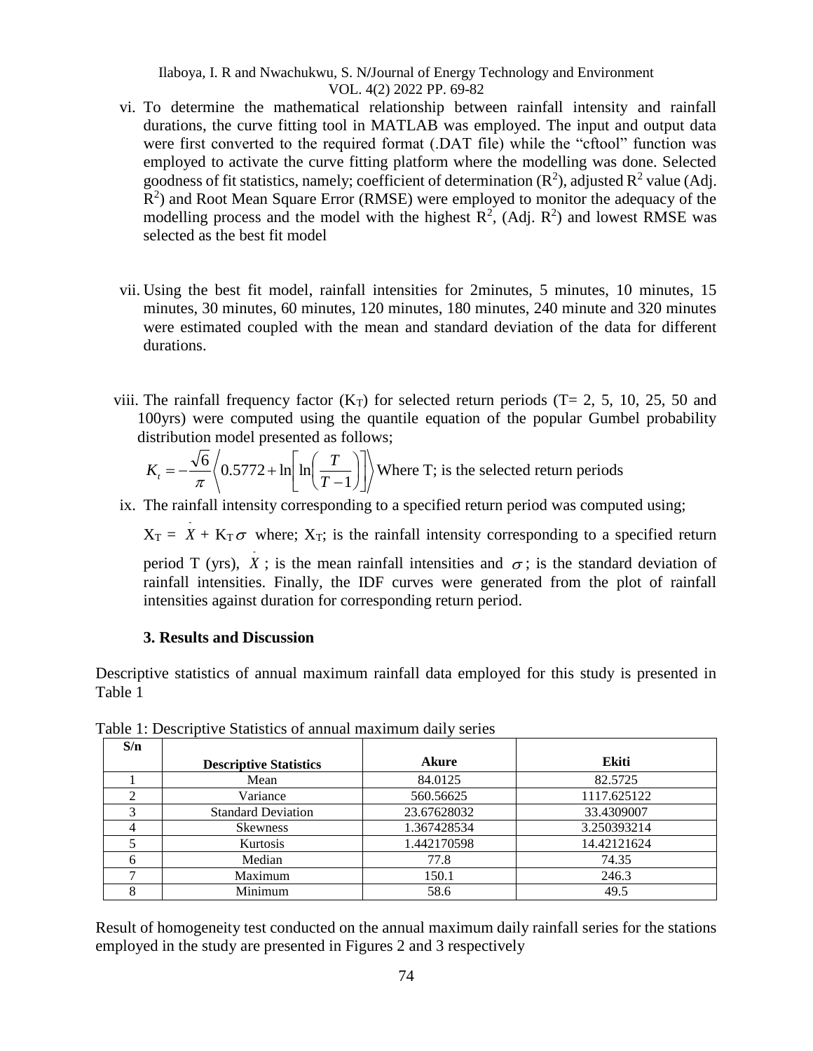- vi. To determine the mathematical relationship between rainfall intensity and rainfall durations, the curve fitting tool in MATLAB was employed. The input and output data were first converted to the required format (.DAT file) while the "cftool" function was employed to activate the curve fitting platform where the modelling was done. Selected goodness of fit statistics, namely; coefficient of determination  $(R^2)$ , adjusted  $R^2$  value (Adj.  $R<sup>2</sup>$ ) and Root Mean Square Error (RMSE) were employed to monitor the adequacy of the modelling process and the model with the highest  $R^2$ , (Adj.  $R^2$ ) and lowest RMSE was selected as the best fit model
- vii. Using the best fit model, rainfall intensities for 2minutes, 5 minutes, 10 minutes, 15 minutes, 30 minutes, 60 minutes, 120 minutes, 180 minutes, 240 minute and 320 minutes were estimated coupled with the mean and standard deviation of the data for different durations.
- viii. The rainfall frequency factor  $(K_T)$  for selected return periods  $(T= 2, 5, 10, 25, 50, 50, 50)$ 100yrs) were computed using the quantile equation of the popular Gumbel probability distribution model presented as follows;

$$
K_t = -\frac{\sqrt{6}}{\pi} \left\langle 0.5772 + \ln\left[\ln\left(\frac{T}{T-1}\right)\right] \right\rangle
$$
 Where T; is the selected return periods

ix. The rainfall intensity corresponding to a specified return period was computed using;

 $X_T = X + K_T \sigma$  where;  $X_T$ ; is the rainfall intensity corresponding to a specified return

period T (yrs), X; is the mean rainfall intensities and  $\sigma$ ; is the standard deviation of rainfall intensities. Finally, the IDF curves were generated from the plot of rainfall intensities against duration for corresponding return period.

#### **3. Results and Discussion**

Descriptive statistics of annual maximum rainfall data employed for this study is presented in Table 1

| S/n |                               |             |             |
|-----|-------------------------------|-------------|-------------|
|     | <b>Descriptive Statistics</b> | Akure       | Ekiti       |
|     | Mean                          | 84.0125     | 82.5725     |
|     | Variance                      | 560.56625   | 1117.625122 |
|     | <b>Standard Deviation</b>     | 23.67628032 | 33.4309007  |
|     | <b>Skewness</b>               | 1.367428534 | 3.250393214 |
|     | Kurtosis                      | 1.442170598 | 14.42121624 |
|     | Median                        | 77.8        | 74.35       |
|     | Maximum                       | 150.1       | 246.3       |
|     | Minimum                       | 58.6        | 49.5        |

Table 1: Descriptive Statistics of annual maximum daily series

Result of homogeneity test conducted on the annual maximum daily rainfall series for the stations employed in the study are presented in Figures 2 and 3 respectively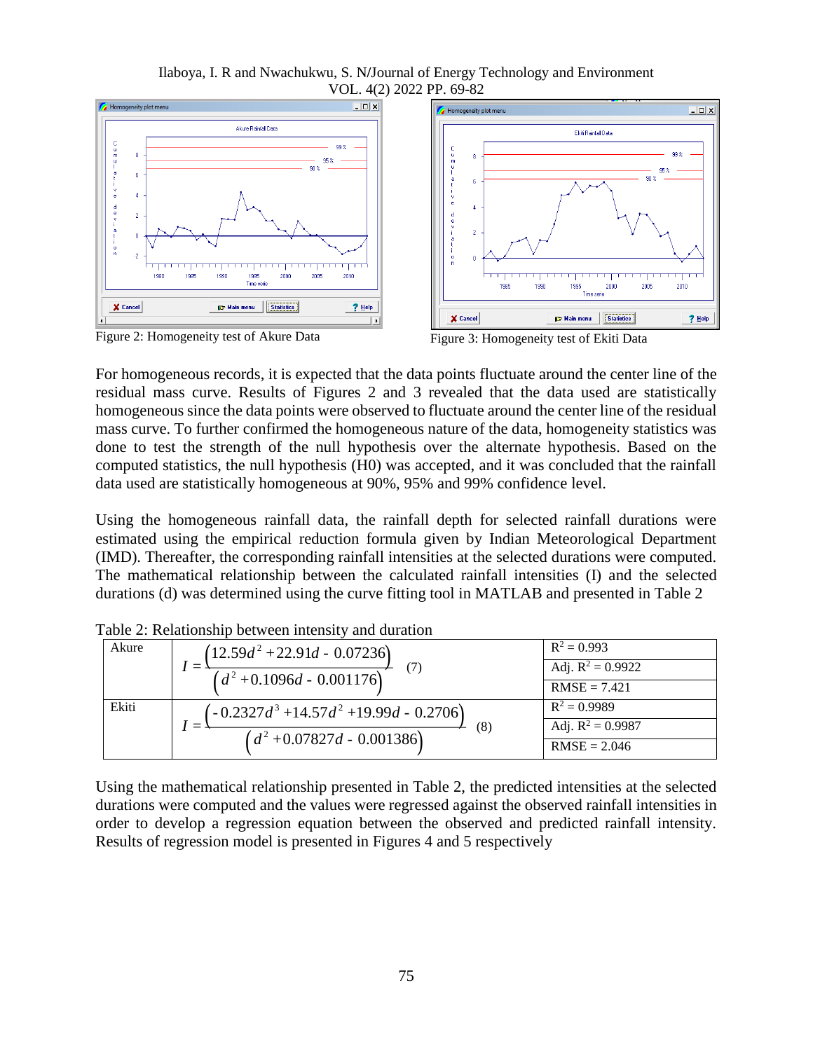Ilaboya, I. R and Nwachukwu, S. N**/**Journal of Energy Technology and Environment VOL. 4(2) 2022 PP. 69-82



Figure 2: Homogeneity test of Akure Data Figure 3: Homogeneity test of Ekiti Data



For homogeneous records, it is expected that the data points fluctuate around the center line of the residual mass curve. Results of Figures 2 and 3 revealed that the data used are statistically homogeneous since the data points were observed to fluctuate around the center line of the residual mass curve. To further confirmed the homogeneous nature of the data, homogeneity statistics was done to test the strength of the null hypothesis over the alternate hypothesis. Based on the computed statistics, the null hypothesis (H0) was accepted, and it was concluded that the rainfall data used are statistically homogeneous at 90%, 95% and 99% confidence level.

Using the homogeneous rainfall data, the rainfall depth for selected rainfall durations were estimated using the empirical reduction formula given by Indian Meteorological Department (IMD). Thereafter, the corresponding rainfall intensities at the selected durations were computed. The mathematical relationship between the calculated rainfall intensities (I) and the selected durations (d) was determined using the curve fitting tool in MATLAB and presented in Table 2

| Akure | $(12.59d^2 + 22.91d - 0.07236)$<br>$(d^2+0.1096d - 0.001176)$                     | $R^2 = 0.993$<br>Adj. $R^2 = 0.9922$<br>$RMSE = 7.421$  |
|-------|-----------------------------------------------------------------------------------|---------------------------------------------------------|
| Ekiti | $(-0.2327d^3 + 14.57d^2 + 19.99d - 0.2706)$<br>(8)<br>$(d^2+0.07827d - 0.001386)$ | $R^2 = 0.9989$<br>Adj. $R^2 = 0.9987$<br>$RMSE = 2.046$ |

Table 2: Relationship between intensity and duration

Using the mathematical relationship presented in Table 2, the predicted intensities at the selected durations were computed and the values were regressed against the observed rainfall intensities in order to develop a regression equation between the observed and predicted rainfall intensity. Results of regression model is presented in Figures 4 and 5 respectively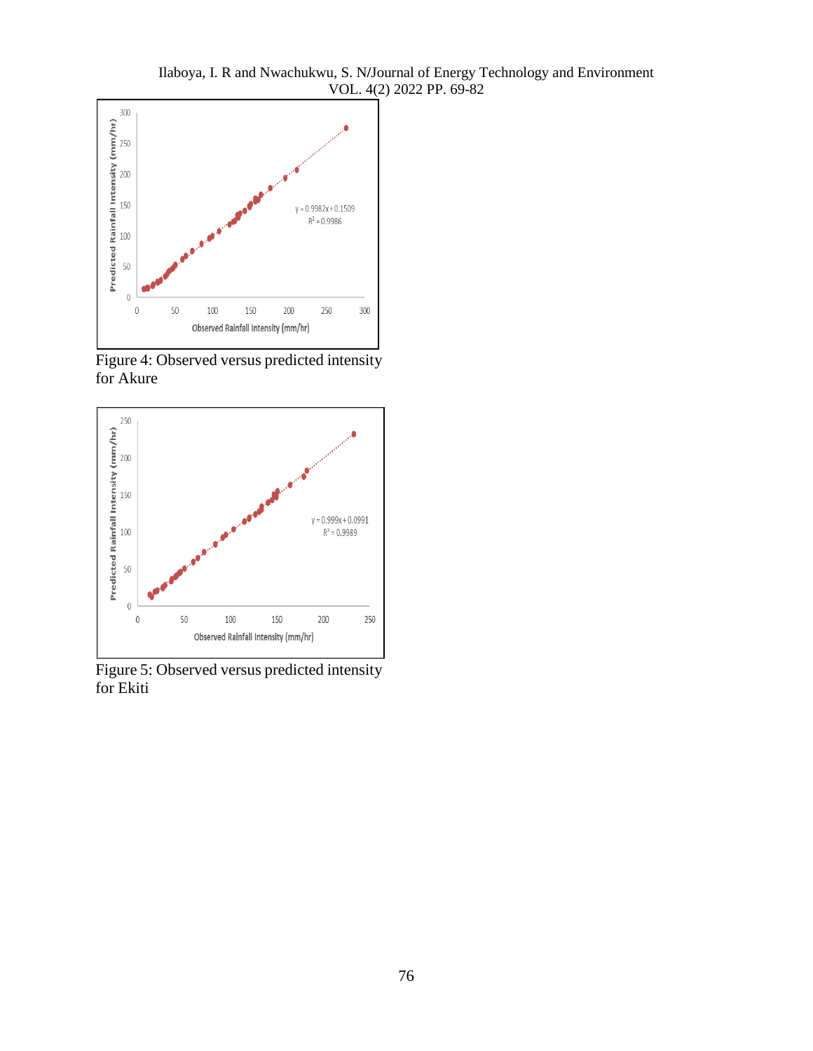Ilaboya, I. R and Nwachukwu, S. N**/**Journal of Energy Technology and Environment VOL. 4(2) 2022 PP. 69-82



Figure 4: Observed versus predicted intensity for Akure



Figure 5: Observed versus predicted intensity for Ekiti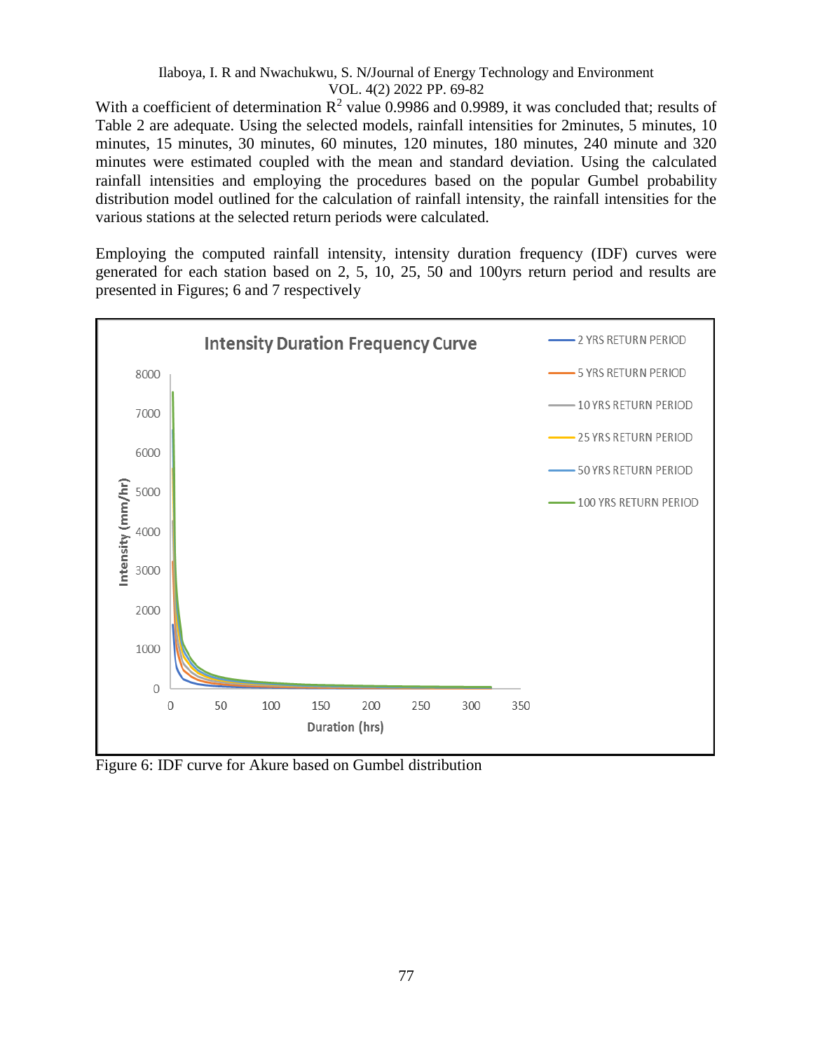With a coefficient of determination  $R^2$  value 0.9986 and 0.9989, it was concluded that; results of Table 2 are adequate. Using the selected models, rainfall intensities for 2minutes, 5 minutes, 10 minutes, 15 minutes, 30 minutes, 60 minutes, 120 minutes, 180 minutes, 240 minute and 320 minutes were estimated coupled with the mean and standard deviation. Using the calculated rainfall intensities and employing the procedures based on the popular Gumbel probability distribution model outlined for the calculation of rainfall intensity, the rainfall intensities for the various stations at the selected return periods were calculated.

Employing the computed rainfall intensity, intensity duration frequency (IDF) curves were generated for each station based on 2, 5, 10, 25, 50 and 100yrs return period and results are presented in Figures; 6 and 7 respectively



Figure 6: IDF curve for Akure based on Gumbel distribution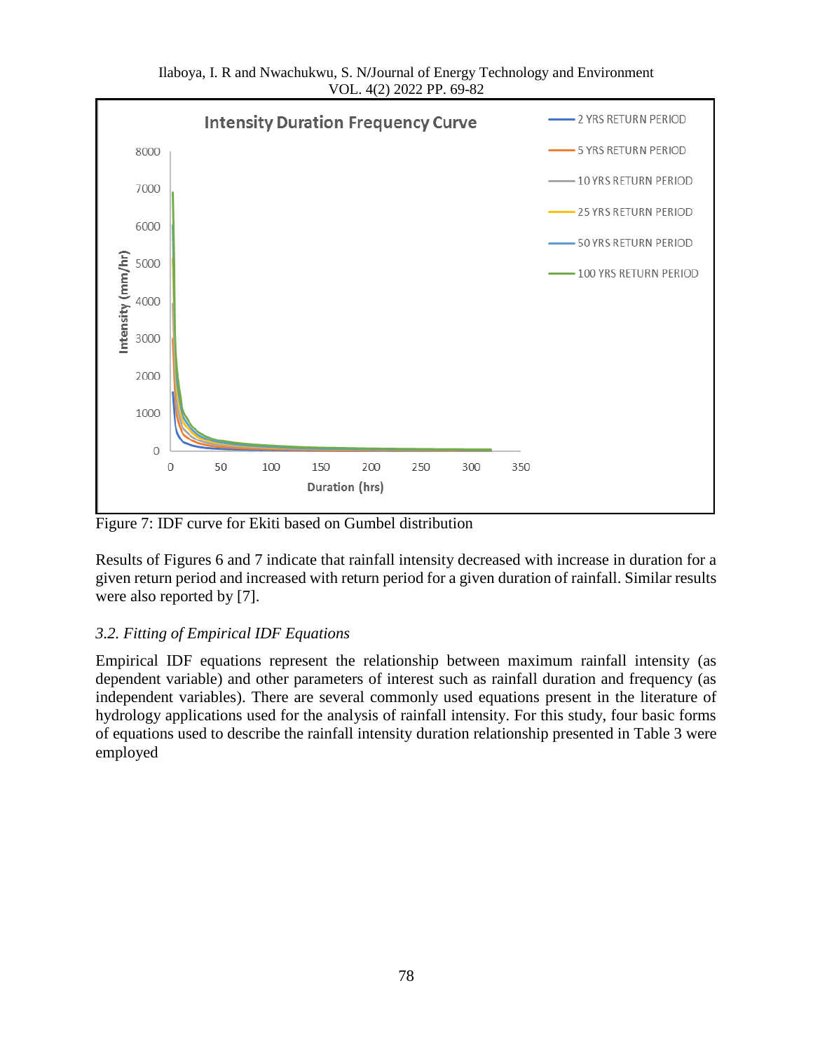

Ilaboya, I. R and Nwachukwu, S. N**/**Journal of Energy Technology and Environment VOL. 4(2) 2022 PP. 69-82

Figure 7: IDF curve for Ekiti based on Gumbel distribution

Results of Figures 6 and 7 indicate that rainfall intensity decreased with increase in duration for a given return period and increased with return period for a given duration of rainfall. Similar results were also reported by [7].

#### *3.2. Fitting of Empirical IDF Equations*

Empirical IDF equations represent the relationship between maximum rainfall intensity (as dependent variable) and other parameters of interest such as rainfall duration and frequency (as independent variables). There are several commonly used equations present in the literature of hydrology applications used for the analysis of rainfall intensity. For this study, four basic forms of equations used to describe the rainfall intensity duration relationship presented in Table 3 were employed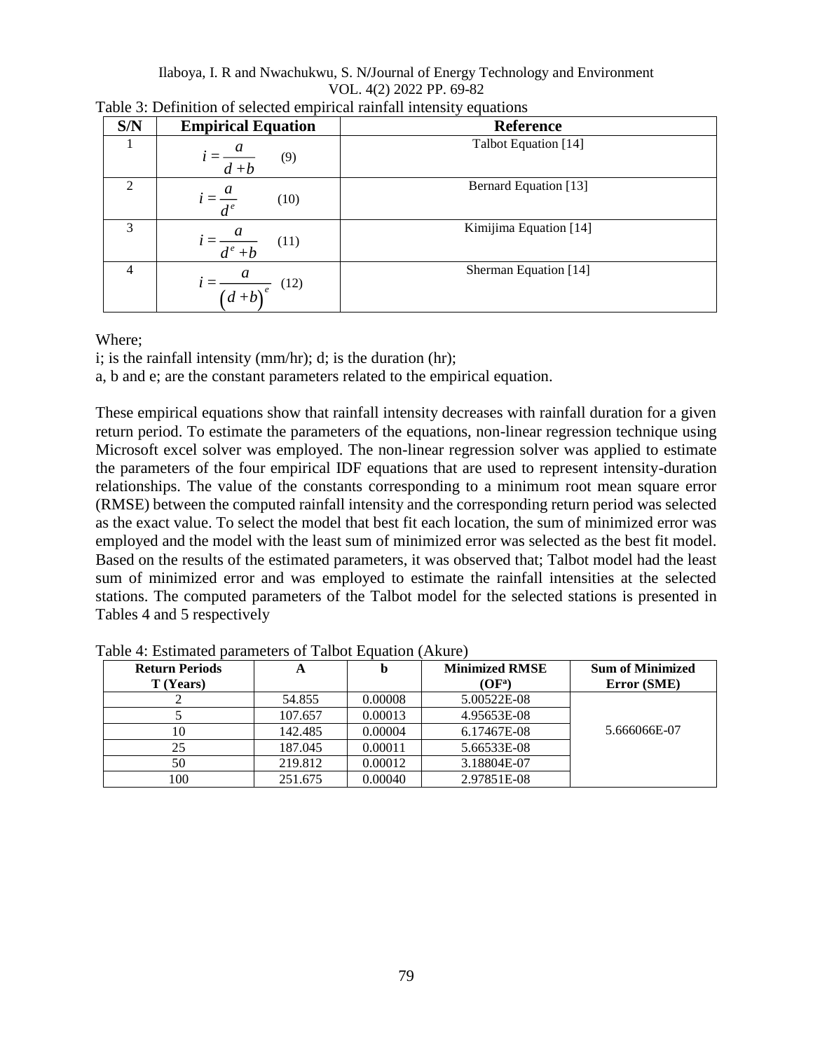| S/N | <b>Empirical Equation</b>         | <b>Reference</b>             |
|-----|-----------------------------------|------------------------------|
|     | (9)<br>$d + b$                    | Talbot Equation [14]         |
|     | $=\frac{a}{d^e}$<br>(10)          | <b>Bernard Equation</b> [13] |
| 3   | $i = \frac{a}{d^e + b}$<br>(11)   | Kimijima Equation [14]       |
| 4   | a<br>(12)<br>$\overline{(d+b)}^e$ | Sherman Equation [14]        |

| Table 3: Definition of selected empirical rainfall intensity equations |  |  |  |
|------------------------------------------------------------------------|--|--|--|
|------------------------------------------------------------------------|--|--|--|

#### Where;

i; is the rainfall intensity (mm/hr); d; is the duration (hr);

a, b and e; are the constant parameters related to the empirical equation.

These empirical equations show that rainfall intensity decreases with rainfall duration for a given return period. To estimate the parameters of the equations, non-linear regression technique using Microsoft excel solver was employed. The non-linear regression solver was applied to estimate the parameters of the four empirical IDF equations that are used to represent intensity-duration relationships. The value of the constants corresponding to a minimum root mean square error (RMSE) between the computed rainfall intensity and the corresponding return period was selected as the exact value. To select the model that best fit each location, the sum of minimized error was employed and the model with the least sum of minimized error was selected as the best fit model. Based on the results of the estimated parameters, it was observed that; Talbot model had the least sum of minimized error and was employed to estimate the rainfall intensities at the selected stations. The computed parameters of the Talbot model for the selected stations is presented in Tables 4 and 5 respectively

| <b>Return Periods</b> | A       | n       | <b>Minimized RMSE</b> | <b>Sum of Minimized</b> |
|-----------------------|---------|---------|-----------------------|-------------------------|
| T (Years)             |         |         | $(OF^a)$              | Error (SME)             |
|                       | 54.855  | 0.00008 | 5.00522E-08           |                         |
|                       | 107.657 | 0.00013 | 4.95653E-08           |                         |
|                       | 142.485 | 0.00004 | 6.17467E-08           | 5.666066E-07            |
| 25                    | 187.045 | 0.00011 | 5.66533E-08           |                         |
| 50                    | 219.812 | 0.00012 | 3.18804E-07           |                         |
| 100                   | 251.675 | 0.00040 | 2.97851E-08           |                         |

Table 4: Estimated parameters of Talbot Equation (Akure)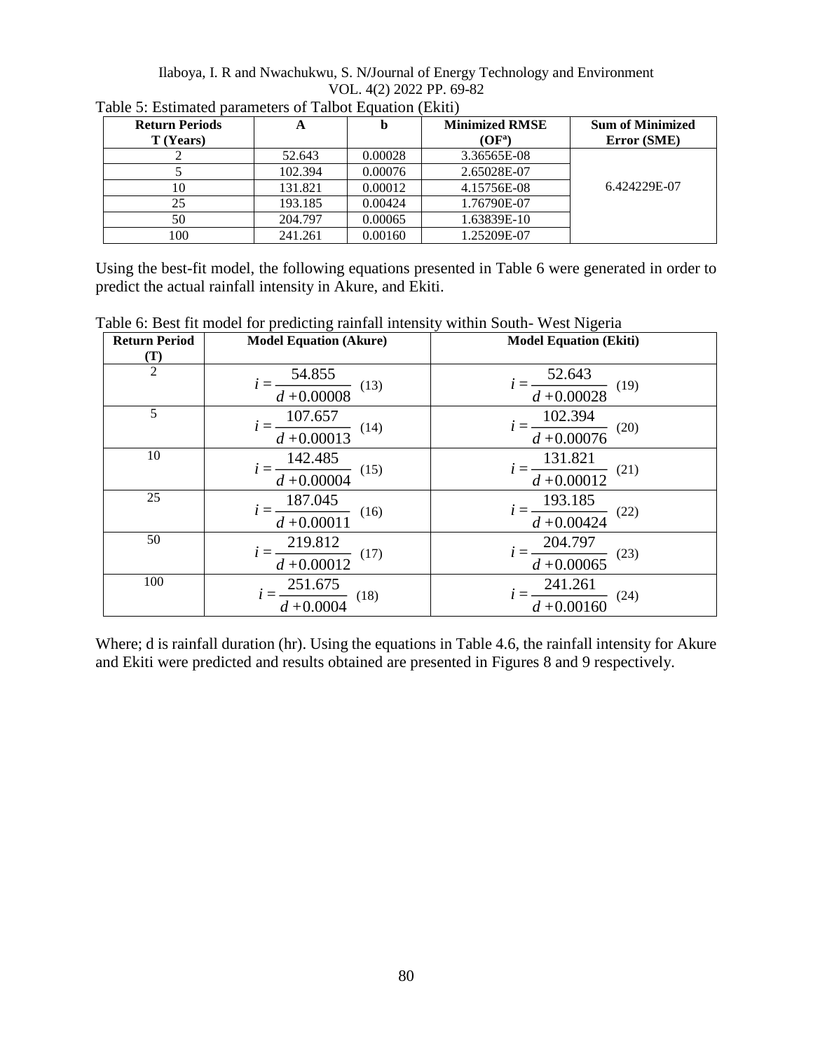Ilaboya, I. R and Nwachukwu, S. N**/**Journal of Energy Technology and Environment VOL. 4(2) 2022 PP. 69-82

| <b>Return Periods</b> | A       | þ       | <b>Minimized RMSE</b> | <b>Sum of Minimized</b> |
|-----------------------|---------|---------|-----------------------|-------------------------|
| T (Years)             |         |         | $(OF^a)$              | Error (SME)             |
|                       | 52.643  | 0.00028 | 3.36565E-08           |                         |
|                       | 102.394 | 0.00076 | 2.65028E-07           |                         |
| 10                    | 131.821 | 0.00012 | 4.15756E-08           | 6.424229E-07            |
| 25                    | 193.185 | 0.00424 | 1.76790E-07           |                         |
| 50                    | 204.797 | 0.00065 | 1.63839E-10           |                         |
| 100                   | 241.261 | 0.00160 | 1.25209E-07           |                         |

Table 5: Estimated parameters of Talbot Equation (Ekiti)

Using the best-fit model, the following equations presented in Table 6 were generated in order to predict the actual rainfall intensity in Akure, and Ekiti.

| <b>Return Period</b> | <b>Model Equation (Akure)</b>             | <b>Model Equation (Ekiti)</b>             |
|----------------------|-------------------------------------------|-------------------------------------------|
| $(\mathbf{T})$       |                                           |                                           |
| $\overline{2}$       | 54.855                                    |                                           |
|                      | (13)<br>$d + 0.00008$                     | $=\frac{52.643}{d+0.00028}$<br>(19)       |
| 5                    | 107.657                                   | 102.394                                   |
|                      | (14)<br>$d + 0.00013$                     | (20)<br>$d + 0.00076$                     |
| 10                   | 142.485                                   |                                           |
|                      | (15)<br>$d + 0.00004$                     | $i = \frac{131.821}{d + 0.00012}$<br>(21) |
| 25                   | 187.045                                   | 193.185                                   |
|                      | (16)<br>$d + 0.00011$                     | (22)<br>$d + 0.00424$                     |
| 50                   |                                           | 204.797                                   |
|                      | $i = \frac{219.812}{d + 0.00012}$<br>(17) | (23)<br>$d + 0.00065$                     |
| 100                  | 251.675                                   | 241.261                                   |
|                      | (18)<br>$\frac{d}{d} + 0.0004$            | (24)<br>$d + 0.00160$                     |

Table 6: Best fit model for predicting rainfall intensity within South- West Nigeria

Where; d is rainfall duration (hr). Using the equations in Table 4.6, the rainfall intensity for Akure and Ekiti were predicted and results obtained are presented in Figures 8 and 9 respectively.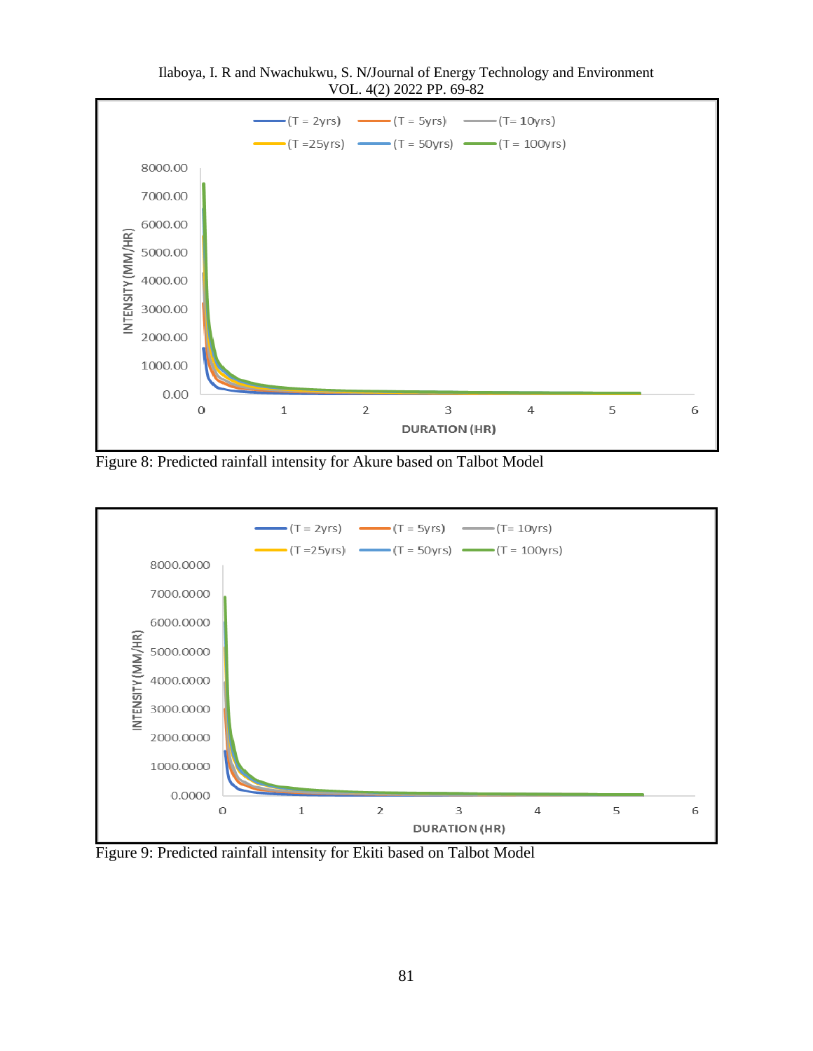

Ilaboya, I. R and Nwachukwu, S. N**/**Journal of Energy Technology and Environment VOL. 4(2) 2022 PP. 69-82

Figure 8: Predicted rainfall intensity for Akure based on Talbot Model



Figure 9: Predicted rainfall intensity for Ekiti based on Talbot Model